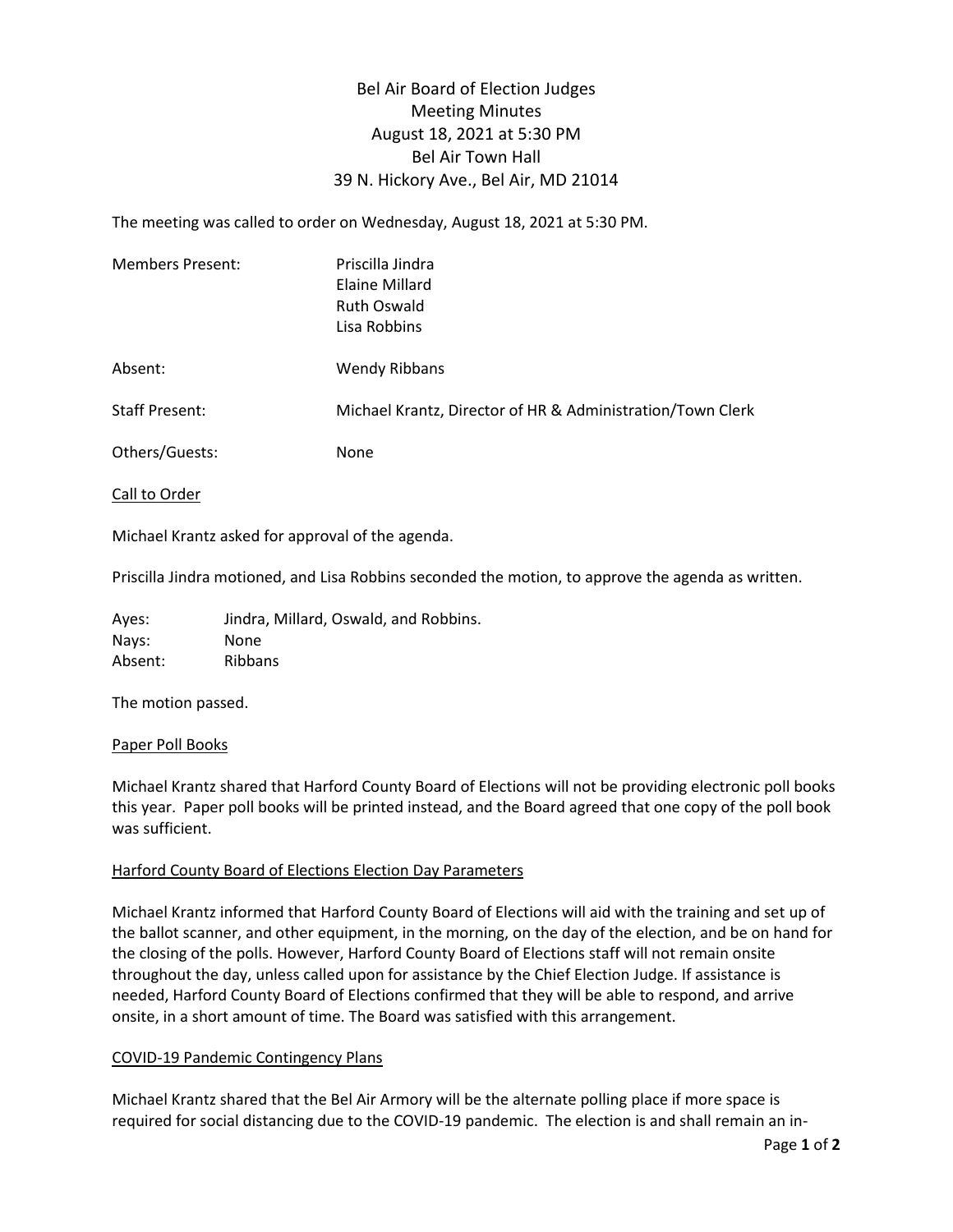# Bel Air Board of Election Judges Meeting Minutes August 18, 2021 at 5:30 PM Bel Air Town Hall 39 N. Hickory Ave., Bel Air, MD 21014

The meeting was called to order on Wednesday, August 18, 2021 at 5:30 PM.

| Members Present:      | Priscilla Jindra<br>Elaine Millard<br><b>Ruth Oswald</b><br>Lisa Robbins |
|-----------------------|--------------------------------------------------------------------------|
| Absent:               | <b>Wendy Ribbans</b>                                                     |
| <b>Staff Present:</b> | Michael Krantz, Director of HR & Administration/Town Clerk               |
| Others/Guests:        | None                                                                     |

Call to Order

Michael Krantz asked for approval of the agenda.

Priscilla Jindra motioned, and Lisa Robbins seconded the motion, to approve the agenda as written.

Ayes: Jindra, Millard, Oswald, and Robbins. Nays: None Absent: Ribbans

The motion passed.

### Paper Poll Books

Michael Krantz shared that Harford County Board of Elections will not be providing electronic poll books this year. Paper poll books will be printed instead, and the Board agreed that one copy of the poll book was sufficient.

### Harford County Board of Elections Election Day Parameters

Michael Krantz informed that Harford County Board of Elections will aid with the training and set up of the ballot scanner, and other equipment, in the morning, on the day of the election, and be on hand for the closing of the polls. However, Harford County Board of Elections staff will not remain onsite throughout the day, unless called upon for assistance by the Chief Election Judge. If assistance is needed, Harford County Board of Elections confirmed that they will be able to respond, and arrive onsite, in a short amount of time. The Board was satisfied with this arrangement.

### COVID-19 Pandemic Contingency Plans

Michael Krantz shared that the Bel Air Armory will be the alternate polling place if more space is required for social distancing due to the COVID-19 pandemic. The election is and shall remain an in